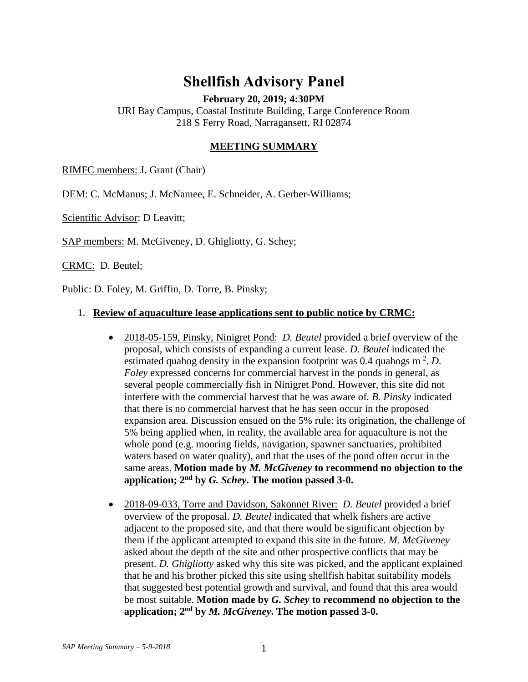# **Shellfish Advisory Panel**

**February 20, 2019; 4:30PM**

URI Bay Campus, Coastal Institute Building, Large Conference Room 218 S Ferry Road, Narragansett, RI 02874

### **MEETING SUMMARY**

RIMFC members: J. Grant (Chair)

DEM: C. McManus; J. McNamee, E. Schneider, A. Gerber-Williams;

Scientific Advisor: D Leavitt;

SAP members: M. McGiveney, D. Ghigliotty, G. Schey;

CRMC: D. Beutel;

Public: D. Foley, M. Griffin, D. Torre, B. Pinsky;

#### 1. **Review of aquaculture lease applications sent to public notice by CRMC:**

- 2018-05-159, Pinsky, Ninigret Pond: *D. Beutel* provided a brief overview of the proposal, which consists of expanding a current lease. *D. Beutel* indicated the estimated quahog density in the expansion footprint was  $0.4$  quahogs  $m<sup>-2</sup>$ . *D*. *Foley* expressed concerns for commercial harvest in the ponds in general, as several people commercially fish in Ninigret Pond. However, this site did not interfere with the commercial harvest that he was aware of*. B. Pinsky* indicated that there is no commercial harvest that he has seen occur in the proposed expansion area. Discussion ensued on the 5% rule: its origination, the challenge of 5% being applied when, in reality, the available area for aquaculture is not the whole pond (e.g. mooring fields, navigation, spawner sanctuaries, prohibited waters based on water quality), and that the uses of the pond often occur in the same areas. **Motion made by** *M. McGiveney* **to recommend no objection to the application; 2nd by** *G. Schey***. The motion passed 3-0.**
- 2018-09-033, Torre and Davidson, Sakonnet River: *D. Beutel* provided a brief overview of the proposal. *D. Beutel* indicated that whelk fishers are active adjacent to the proposed site, and that there would be significant objection by them if the applicant attempted to expand this site in the future*. M. McGiveney*  asked about the depth of the site and other prospective conflicts that may be present. *D. Ghigliotty* asked why this site was picked, and the applicant explained that he and his brother picked this site using shellfish habitat suitability models that suggested best potential growth and survival, and found that this area would be most suitable. **Motion made by** *G. Schey* **to recommend no objection to the application; 2nd by** *M. McGiveney***. The motion passed 3-0.**